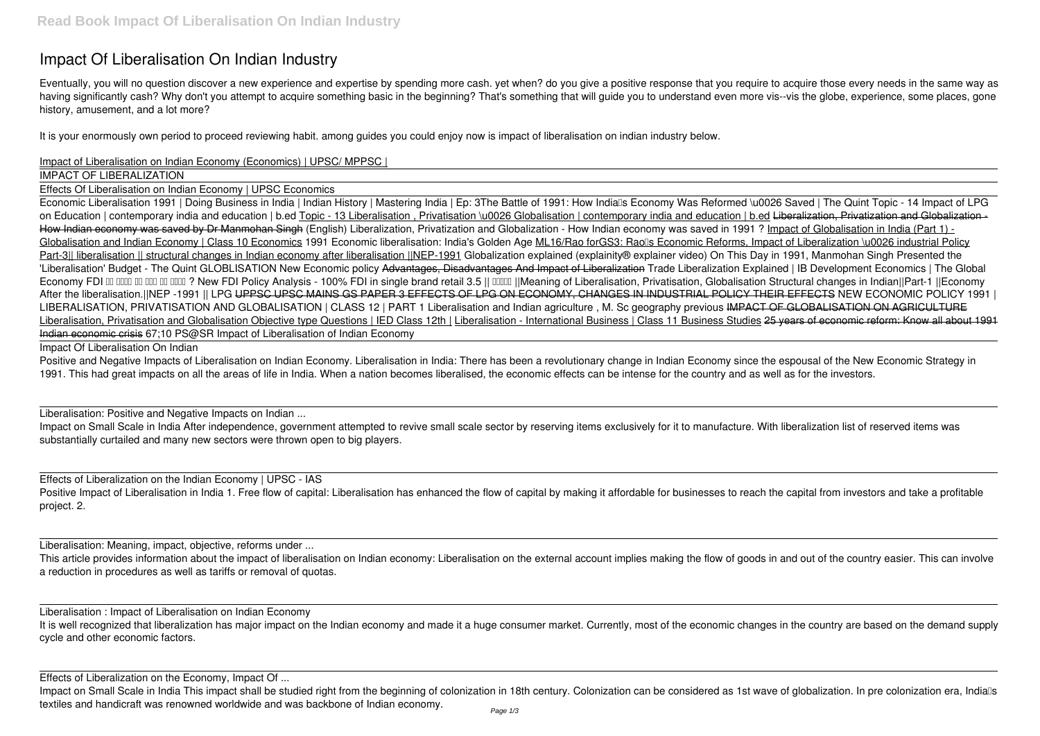## **Impact Of Liberalisation On Indian Industry**

Eventually, you will no question discover a new experience and expertise by spending more cash. yet when? do you give a positive response that you require to acquire those every needs in the same way as having significantly cash? Why don't you attempt to acquire something basic in the beginning? That's something that will guide you to understand even more vis--vis the globe, experience, some places, gone history, amusement, and a lot more?

It is your enormously own period to proceed reviewing habit. among guides you could enjoy now is **impact of liberalisation on indian industry** below.

## Impact of Liberalisation on Indian Economy (Economics) | UPSC/ MPPSC |

IMPACT OF LIBERALIZATION

Effects Of Liberalisation on Indian Economy | UPSC Economics

Positive and Negative Impacts of Liberalisation on Indian Economy. Liberalisation in India: There has been a revolutionary change in Indian Economy since the espousal of the New Economic Strategy in 1991. This had great impacts on all the areas of life in India. When a nation becomes liberalised, the economic effects can be intense for the country and as well as for the investors.

Economic Liberalisation 1991 | Doing Business in India | Indian History | Mastering India | Ep: 3**The Battle of 1991: How India's Economy Was Reformed \u0026 Saved | The Quint** *Topic - 14 Impact of LPG* on Education | contemporary india and education | b.ed Topic - 13 Liberalisation , Privatisation \u0026 Globalisation | contemporary india and education | b.ed Liberalization, Privatization and Globalization -How Indian economy was saved by Dr Manmohan Singh (English) Liberalization, Privatization and Globalization - How Indian economy was saved in 1991 ? Impact of Globalisation in India (Part 1) -Globalisation and Indian Economy | Class 10 Economics 1991 Economic liberalisation: India's Golden Age ML16/Rao forGS3: Raolls Economic Reforms, Impact of Liberalization \u0026 industrial Policy Part-3|| liberalisation || structural changes in Indian economy after liberalisation ||NEP-1991 *Globalization explained (explainity® explainer video) On This Day in 1991, Manmohan Singh Presented the 'Liberalisation' Budget - The Quint* GLOBLISATION New Economic policy Advantages, Disadvantages And Impact of Liberalization *Trade Liberalization Explained | IB Development Economics | The Global* Economy FDI DD DDD DD DDD DDD ? New FDI Policy Analysis - 100% FDI in single brand retail 3.5 || DDDD ||Meaning of Liberalisation, Privatisation, Globalisation Structural changes in Indian||Part-1 ||Economy *After the liberalisation.||NEP -1991 || LPG* UPPSC UPSC MAINS GS PAPER 3 EFFECTS OF LPG ON ECONOMY, CHANGES IN INDUSTRIAL POLICY THEIR EFFECTS *NEW ECONOMIC POLICY 1991 |* LIBERALISATION, PRIVATISATION AND GLOBALISATION | CLASS 12 | PART 1 Liberalisation and Indian agriculture, M. Sc geography previous IMPACT OF GLOBALISATION ON AGRICULTURE Liberalisation, Privatisation and Globalisation Objective type Questions | IED Class 12th | Liberalisation - International Business | Class 11 Business Studies 25 years of economic reform: Know all about 1991 Indian economic crisis *67;10 PS@SR Impact of Liberalisation of Indian Economy*

This article provides information about the impact of liberalisation on Indian economy: Liberalisation on the external account implies making the flow of goods in and out of the country easier. This can involve a reduction in procedures as well as tariffs or removal of quotas.

It is well recognized that liberalization has major impact on the Indian economy and made it a huge consumer market. Currently, most of the economic changes in the country are based on the demand supply cycle and other economic factors.

Impact on Small Scale in India This impact shall be studied right from the beginning of colonization in 18th century. Colonization can be considered as 1st wave of globalization. In pre colonization era, Indials textiles and handicraft was renowned worldwide and was backbone of Indian economy.

Impact Of Liberalisation On Indian

Liberalisation: Positive and Negative Impacts on Indian ...

Impact on Small Scale in India After independence, government attempted to revive small scale sector by reserving items exclusively for it to manufacture. With liberalization list of reserved items was substantially curtailed and many new sectors were thrown open to big players.

Effects of Liberalization on the Indian Economy | UPSC - IAS Positive Impact of Liberalisation in India 1. Free flow of capital: Liberalisation has enhanced the flow of capital by making it affordable for businesses to reach the capital from investors and take a profitable project. 2.

Liberalisation: Meaning, impact, objective, reforms under ...

Liberalisation : Impact of Liberalisation on Indian Economy

Effects of Liberalization on the Economy, Impact Of ...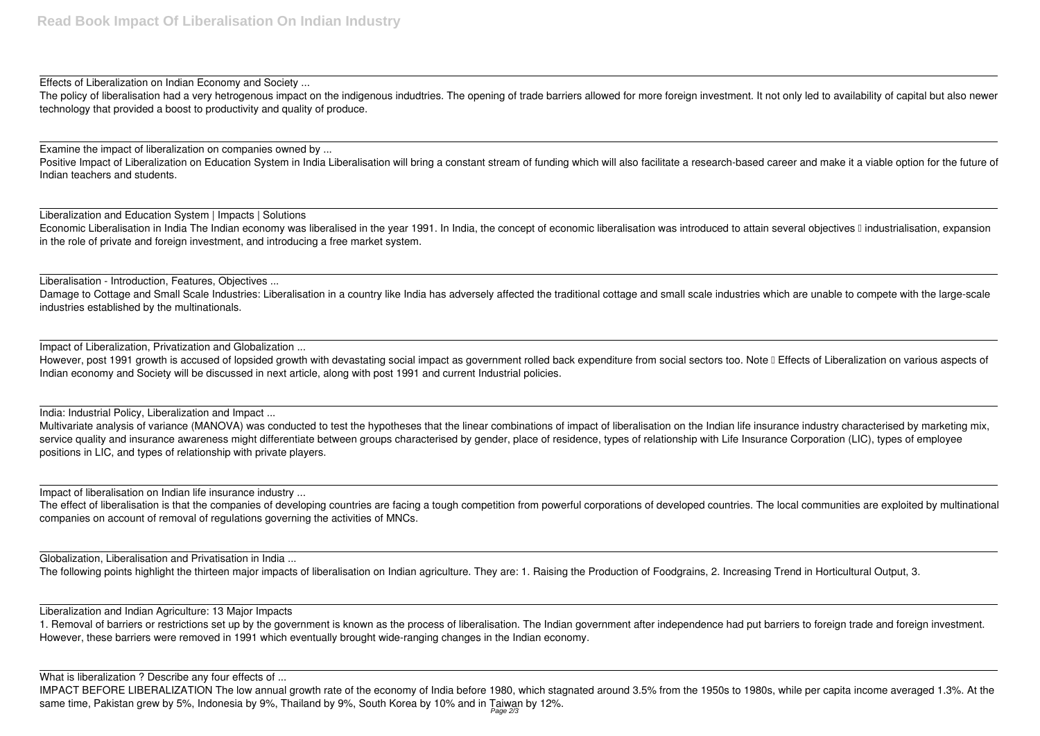Effects of Liberalization on Indian Economy and Society ...

The policy of liberalisation had a very hetrogenous impact on the indigenous indudtries. The opening of trade barriers allowed for more foreign investment. It not only led to availability of capital but also newer technology that provided a boost to productivity and quality of produce.

Positive Impact of Liberalization on Education System in India Liberalisation will bring a constant stream of funding which will also facilitate a research-based career and make it a viable option for the future of Indian teachers and students.

Examine the impact of liberalization on companies owned by ...

Economic Liberalisation in India The Indian economy was liberalised in the year 1991. In India, the concept of economic liberalisation was introduced to attain several objectives I industrialisation, expansion in the role of private and foreign investment, and introducing a free market system.

Damage to Cottage and Small Scale Industries: Liberalisation in a country like India has adversely affected the traditional cottage and small scale industries which are unable to compete with the large-scale industries established by the multinationals.

Liberalization and Education System | Impacts | Solutions

However, post 1991 growth is accused of lopsided growth with devastating social impact as government rolled back expenditure from social sectors too. Note I Effects of Liberalization on various aspects of Indian economy and Society will be discussed in next article, along with post 1991 and current Industrial policies.

India: Industrial Policy, Liberalization and Impact ...

Liberalisation - Introduction, Features, Objectives ...

Multivariate analysis of variance (MANOVA) was conducted to test the hypotheses that the linear combinations of impact of liberalisation on the Indian life insurance industry characterised by marketing mix, service quality and insurance awareness might differentiate between groups characterised by gender, place of residence, types of relationship with Life Insurance Corporation (LIC), types of employee positions in LIC, and types of relationship with private players.

The effect of liberalisation is that the companies of developing countries are facing a tough competition from powerful corporations of developed countries. The local communities are exploited by multinational companies on account of removal of regulations governing the activities of MNCs.

Impact of Liberalization, Privatization and Globalization ...

Impact of liberalisation on Indian life insurance industry ...

Globalization, Liberalisation and Privatisation in India ...

The following points highlight the thirteen major impacts of liberalisation on Indian agriculture. They are: 1. Raising the Production of Foodgrains, 2. Increasing Trend in Horticultural Output, 3.

Liberalization and Indian Agriculture: 13 Major Impacts

1. Removal of barriers or restrictions set up by the government is known as the process of liberalisation. The Indian government after independence had put barriers to foreign trade and foreign investment. However, these barriers were removed in 1991 which eventually brought wide-ranging changes in the Indian economy.

What is liberalization ? Describe any four effects of ...

IMPACT BEFORE LIBERALIZATION The low annual growth rate of the economy of India before 1980, which stagnated around 3.5% from the 1950s to 1980s, while per capita income averaged 1.3%. At the same time, Pakistan grew by 5%, Indonesia by 9%, Thailand by 9%, South Korea by 10% and in Taiwan by 12%. Page 2/3